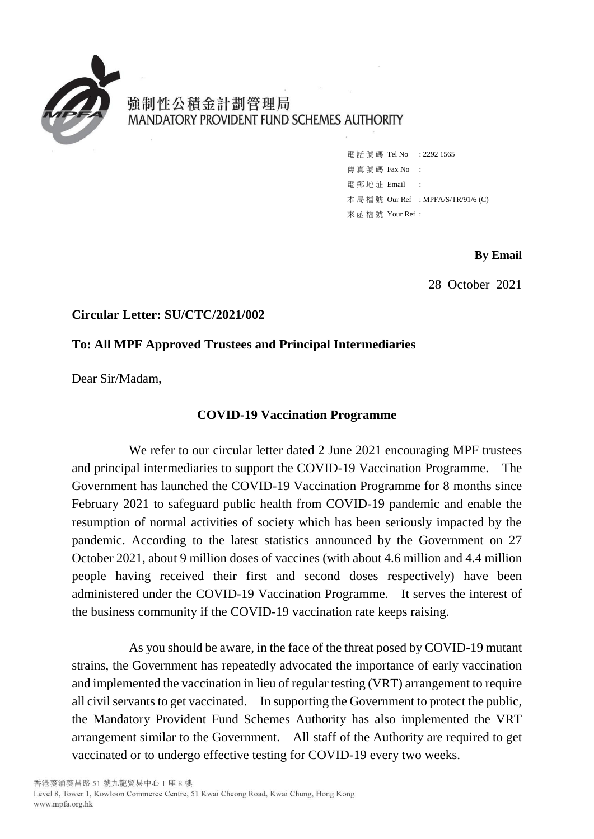

強制性公積金計劃管理局 MANDATORY PROVIDENT FUND SCHEMES AUTHORITY

> 電話號碼 Tel No : 2292 1565 傳 直 號 碼 Fax No : 電 郵 地 址 Email : 本 局 檔 號 Our Ref : MPFA/S/TR/91/6 (C) 來 函 檔 號 Your Ref :

> > **By Email**

28 October 2021

## **Circular Letter: SU/CTC/2021/002**

## **To: All MPF Approved Trustees and Principal Intermediaries**

Dear Sir/Madam,

## **COVID-19 Vaccination Programme**

We refer to our circular letter dated 2 June 2021 encouraging MPF trustees and principal intermediaries to support the COVID-19 Vaccination Programme. The Government has launched the COVID-19 Vaccination Programme for 8 months since February 2021 to safeguard public health from COVID-19 pandemic and enable the resumption of normal activities of society which has been seriously impacted by the pandemic. According to the latest statistics announced by the Government on 27 October 2021, about 9 million doses of vaccines (with about 4.6 million and 4.4 million people having received their first and second doses respectively) have been administered under the COVID-19 Vaccination Programme. It serves the interest of the business community if the COVID-19 vaccination rate keeps raising.

As you should be aware, in the face of the threat posed by COVID-19 mutant strains, the Government has repeatedly advocated the importance of early vaccination and implemented the vaccination in lieu of regular testing (VRT) arrangement to require all civil servants to get vaccinated. In supporting the Government to protect the public, the Mandatory Provident Fund Schemes Authority has also implemented the VRT arrangement similar to the Government. All staff of the Authority are required to get vaccinated or to undergo effective testing for COVID-19 every two weeks.